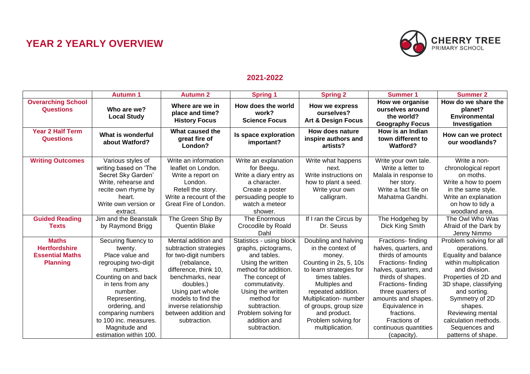## **YEAR 2 YEARLY OVERVIEW**



## **2021-2022**

|                                                                                   | <b>Autumn 1</b>                                                                                                                                                                                                                                                         | <b>Autumn 2</b>                                                                                                                                                                                                                                           | <b>Spring 1</b>                                                                                                                                                                                                                                           | <b>Spring 2</b>                                                                                                                                                                                                                                                               | <b>Summer 1</b>                                                                                                                                                                                                                                                                             | <b>Summer 2</b>                                                                                                                                                                                                                                                                           |
|-----------------------------------------------------------------------------------|-------------------------------------------------------------------------------------------------------------------------------------------------------------------------------------------------------------------------------------------------------------------------|-----------------------------------------------------------------------------------------------------------------------------------------------------------------------------------------------------------------------------------------------------------|-----------------------------------------------------------------------------------------------------------------------------------------------------------------------------------------------------------------------------------------------------------|-------------------------------------------------------------------------------------------------------------------------------------------------------------------------------------------------------------------------------------------------------------------------------|---------------------------------------------------------------------------------------------------------------------------------------------------------------------------------------------------------------------------------------------------------------------------------------------|-------------------------------------------------------------------------------------------------------------------------------------------------------------------------------------------------------------------------------------------------------------------------------------------|
| <b>Overarching School</b><br><b>Questions</b>                                     | Who are we?<br><b>Local Study</b>                                                                                                                                                                                                                                       | Where are we in<br>place and time?<br><b>History Focus</b>                                                                                                                                                                                                | How does the world<br>work?<br><b>Science Focus</b>                                                                                                                                                                                                       | How we express<br>ourselves?<br><b>Art &amp; Design Focus</b>                                                                                                                                                                                                                 | How we organise<br>ourselves around<br>the world?<br><b>Geography Focus</b>                                                                                                                                                                                                                 | How do we share the<br>planet?<br><b>Environmental</b><br>Investigation                                                                                                                                                                                                                   |
| <b>Year 2 Half Term</b><br><b>Questions</b>                                       | What is wonderful<br>about Watford?                                                                                                                                                                                                                                     | What caused the<br>great fire of<br>London?                                                                                                                                                                                                               | Is space exploration<br>important?                                                                                                                                                                                                                        | How does nature<br>inspire authors and<br>artists?                                                                                                                                                                                                                            | How is an Indian<br>town different to<br><b>Watford?</b>                                                                                                                                                                                                                                    | How can we protect<br>our woodlands?                                                                                                                                                                                                                                                      |
| <b>Writing Outcomes</b>                                                           | Various styles of<br>writing based on 'The<br>Secret Sky Garden'<br>Write, rehearse and<br>recite own rhyme by<br>heart.<br>Write own version or<br>extract.                                                                                                            | Write an information<br>leaflet on London.<br>Write a report on<br>London.<br>Retell the story.<br>Write a recount of the<br>Great Fire of London.                                                                                                        | Write an explanation<br>for Beegu.<br>Write a diary entry as<br>a character.<br>Create a poster<br>persuading people to<br>watch a meteor<br>shower.                                                                                                      | Write what happens<br>next.<br>Write instructions on<br>how to plant a seed.<br>Write your own<br>calligram.                                                                                                                                                                  | Write your own tale.<br>Write a letter to<br>Malala in response to<br>her story.<br>Write a fact file on<br>Mahatma Gandhi.                                                                                                                                                                 | Write a non-<br>chronological report<br>on moths.<br>Write a how to poem<br>in the same style.<br>Write an explanation<br>on how to tidy a<br>woodland area.                                                                                                                              |
| <b>Guided Reading</b><br><b>Texts</b>                                             | Jim and the Beanstalk<br>by Raymond Brigg                                                                                                                                                                                                                               | The Green Ship By<br>Quentin Blake                                                                                                                                                                                                                        | The Enormous<br>Crocodile by Roald<br>Dahl                                                                                                                                                                                                                | If I ran the Circus by<br>Dr. Seuss                                                                                                                                                                                                                                           | The Hodgeheg by<br>Dick King Smith                                                                                                                                                                                                                                                          | The Owl Who Was<br>Afraid of the Dark by<br>Jenny Nimmo                                                                                                                                                                                                                                   |
| <b>Maths</b><br><b>Hertfordshire</b><br><b>Essential Maths</b><br><b>Planning</b> | Securing fluency to<br>twenty.<br>Place value and<br>regrouping two-digit<br>numbers.<br>Counting on and back<br>in tens from any<br>number.<br>Representing,<br>ordering, and<br>comparing numbers<br>to 100 inc. measures.<br>Magnitude and<br>estimation within 100. | Mental addition and<br>subtraction strategies<br>for two-digit numbers<br>(rebalance,<br>difference, think 10,<br>benchmarks, near<br>doubles.)<br>Using part whole<br>models to find the<br>inverse relationship<br>between addition and<br>subtraction. | Statistics - using block<br>graphs, pictograms,<br>and tables.<br>Using the written<br>method for addition.<br>The concept of<br>commutativity.<br>Using the written<br>method for<br>subtraction.<br>Problem solving for<br>addition and<br>subtraction. | Doubling and halving<br>in the context of<br>money.<br>Counting in 2s, 5, 10s<br>to learn strategies for<br>times tables.<br>Multiples and<br>repeated addition.<br>Multiplication- number<br>of groups, group size<br>and product.<br>Problem solving for<br>multiplication. | Fractions-finding<br>halves, quarters, and<br>thirds of amounts<br>Fractions-finding<br>halves, quarters, and<br>thirds of shapes.<br>Fractions-finding<br>three quarters of<br>amounts and shapes.<br>Equivalence in<br>fractions.<br>Fractions of<br>continuous quantities<br>(capacity). | Problem solving for all<br>operations.<br>Equality and balance<br>within multiplication<br>and division.<br>Properties of 2D and<br>3D shape, classifying<br>and sorting.<br>Symmetry of 2D<br>shapes.<br>Reviewing mental<br>calculation methods.<br>Sequences and<br>patterns of shape. |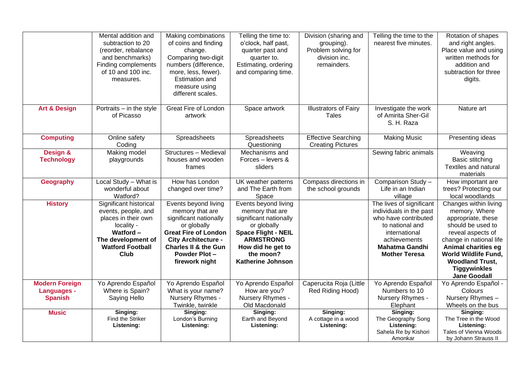|                                                               | Mental addition and<br>subtraction to 20<br>(reorder, rebalance<br>and benchmarks)<br>Finding complements<br>of 10 and 100 inc.<br>measures.                          | Making combinations<br>of coins and finding<br>change.<br>Comparing two-digit<br>numbers (difference,<br>more, less, fewer).<br>Estimation and<br>measure using<br>different scales.                                | Telling the time to:<br>o'clock, half past,<br>quarter past and<br>quarter to.<br>Estimating, ordering<br>and comparing time.                                                                    | Division (sharing and<br>grouping).<br>Problem solving for<br>division inc.<br>remainders. | Telling the time to the<br>nearest five minutes.                                                                                                                                 | Rotation of shapes<br>and right angles.<br>Place value and using<br>written methods for<br>addition and<br>subtraction for three<br>digits.                                                                                                                            |
|---------------------------------------------------------------|-----------------------------------------------------------------------------------------------------------------------------------------------------------------------|---------------------------------------------------------------------------------------------------------------------------------------------------------------------------------------------------------------------|--------------------------------------------------------------------------------------------------------------------------------------------------------------------------------------------------|--------------------------------------------------------------------------------------------|----------------------------------------------------------------------------------------------------------------------------------------------------------------------------------|------------------------------------------------------------------------------------------------------------------------------------------------------------------------------------------------------------------------------------------------------------------------|
| <b>Art &amp; Design</b>                                       | Portraits - in the style<br>of Picasso                                                                                                                                | <b>Great Fire of London</b><br>artwork                                                                                                                                                                              | Space artwork                                                                                                                                                                                    | <b>Illustrators of Fairy</b><br><b>Tales</b>                                               | Investigate the work<br>of Amirita Sher-Gil<br>S. H. Raza                                                                                                                        | Nature art                                                                                                                                                                                                                                                             |
| <b>Computing</b>                                              | Online safety<br>Coding                                                                                                                                               | Spreadsheets                                                                                                                                                                                                        | Spreadsheets<br>Questioning                                                                                                                                                                      | <b>Effective Searching</b><br><b>Creating Pictures</b>                                     | <b>Making Music</b>                                                                                                                                                              | Presenting ideas                                                                                                                                                                                                                                                       |
| Design &<br><b>Technology</b>                                 | Making model<br>playgrounds                                                                                                                                           | Structures - Medieval<br>houses and wooden<br>frames                                                                                                                                                                | Mechanisms and<br>Forces - levers &<br>sliders                                                                                                                                                   |                                                                                            | Sewing fabric animals                                                                                                                                                            | Weaving<br>Basic stitching<br>Textiles and natural<br>materials                                                                                                                                                                                                        |
| Geography                                                     | Local Study - What is<br>wonderful about<br>Watford?                                                                                                                  | How has London<br>changed over time?                                                                                                                                                                                | UK weather patterns<br>and The Earth from<br>Space                                                                                                                                               | Compass directions in<br>the school grounds                                                | Comparison Study -<br>Life in an Indian<br>village                                                                                                                               | How important are<br>trees? Protecting our<br>local woodlands                                                                                                                                                                                                          |
| <b>History</b>                                                | Significant historical<br>events, people, and<br>places in their own<br>locality -<br><b>Watford-</b><br>The development of<br><b>Watford Football</b><br><b>Club</b> | Events beyond living<br>memory that are<br>significant nationally<br>or globally<br><b>Great Fire of London</b><br><b>City Architecture -</b><br><b>Charles II &amp; the Gun</b><br>Powder Plot -<br>firework night | Events beyond living<br>memory that are<br>significant nationally<br>or globally<br><b>Space Flight - NEIL</b><br><b>ARMSTRONG</b><br>How did he get to<br>the moon?<br><b>Katherine Johnson</b> |                                                                                            | The lives of significant<br>individuals in the past<br>who have contributed<br>to national and<br>international<br>achievements<br><b>Mahatma Gandhi</b><br><b>Mother Teresa</b> | Changes within living<br>memory. Where<br>appropriate, these<br>should be used to<br>reveal aspects of<br>change in national life<br><b>Animal charities eg</b><br><b>World Wildlife Fund,</b><br><b>Woodland Trust,</b><br><b>Tiggywinkles</b><br><b>Jane Goodall</b> |
| <b>Modern Foreign</b><br><b>Languages -</b><br><b>Spanish</b> | Yo Aprendo Español<br>Where is Spain?<br>Saying Hello                                                                                                                 | Yo Aprendo Español<br>What is your name?<br>Nursery Rhymes -<br>Twinkle, twinkle                                                                                                                                    | Yo Aprendo Español<br>How are you?<br>Nursery Rhymes -<br>Old Macdonald                                                                                                                          | Caperucita Roja (Little<br>Red Riding Hood)                                                | Yo Aprendo Español<br>Numbers to 10<br>Nursery Rhymes -<br>Elephant                                                                                                              | Yo Aprendo Español -<br>Colours<br>Nursery Rhymes -<br>Wheels on the bus                                                                                                                                                                                               |
| <b>Music</b>                                                  | Singing:<br>Find the Striker<br>Listening:                                                                                                                            | Singing:<br>London's Burning<br>Listening:                                                                                                                                                                          | Singing:<br>Earth and Beyond<br>Listening:                                                                                                                                                       | Singing:<br>A cottage in a wood<br>Listening:                                              | Singing:<br>The Geography Song<br>Listening:<br>Sahela Re by Kishori<br>Amonkar                                                                                                  | Singing:<br>The Tree in the Wood<br>Listening:<br>Tales of Vienna Woods<br>by Johann Strauss II                                                                                                                                                                        |